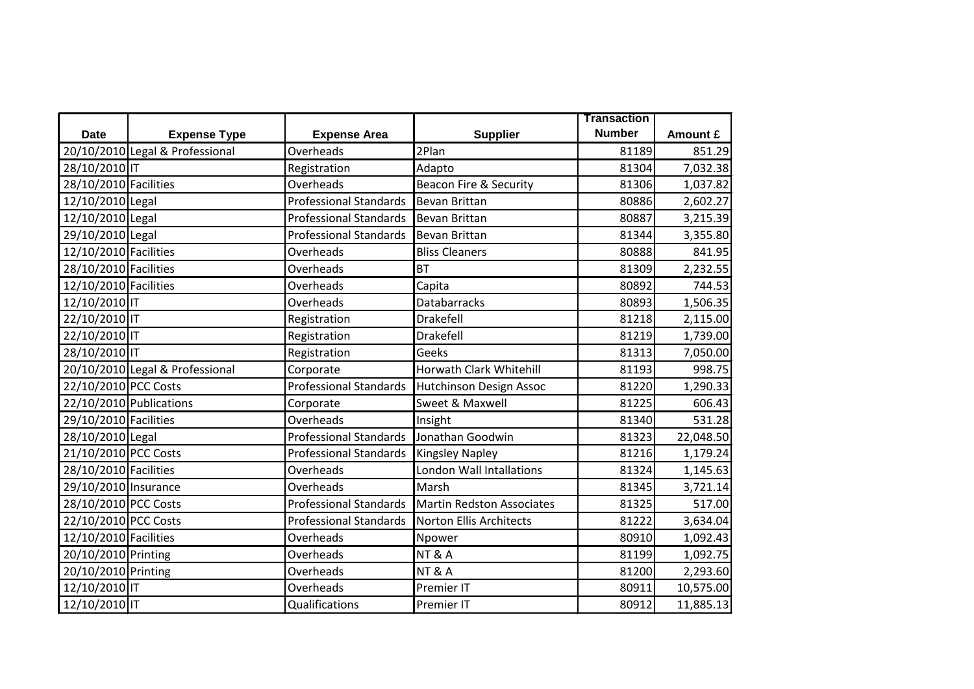|                       |                                 |                               |                                 | <b>Transaction</b> |           |
|-----------------------|---------------------------------|-------------------------------|---------------------------------|--------------------|-----------|
| <b>Date</b>           | <b>Expense Type</b>             | <b>Expense Area</b>           | <b>Supplier</b>                 | <b>Number</b>      | Amount £  |
|                       | 20/10/2010 Legal & Professional | Overheads                     | 2Plan                           | 81189              | 851.29    |
| 28/10/2010 IT         |                                 | Registration                  | Adapto                          | 81304              | 7,032.38  |
| 28/10/2010 Facilities |                                 | Overheads                     | Beacon Fire & Security          | 81306              | 1,037.82  |
| 12/10/2010 Legal      |                                 | <b>Professional Standards</b> | Bevan Brittan                   | 80886              | 2,602.27  |
| 12/10/2010 Legal      |                                 | <b>Professional Standards</b> | <b>Bevan Brittan</b>            | 80887              | 3,215.39  |
| 29/10/2010 Legal      |                                 | <b>Professional Standards</b> | Bevan Brittan                   | 81344              | 3,355.80  |
| 12/10/2010 Facilities |                                 | Overheads                     | <b>Bliss Cleaners</b>           | 80888              | 841.95    |
| 28/10/2010 Facilities |                                 | Overheads                     | <b>BT</b>                       | 81309              | 2,232.55  |
| 12/10/2010 Facilities |                                 | Overheads                     | Capita                          | 80892              | 744.53    |
| 12/10/2010 IT         |                                 | Overheads                     | Databarracks                    | 80893              | 1,506.35  |
| 22/10/2010 IT         |                                 | Registration                  | Drakefell                       | 81218              | 2,115.00  |
| 22/10/2010 IT         |                                 | Registration                  | Drakefell                       | 81219              | 1,739.00  |
| 28/10/2010 IT         |                                 | Registration                  | Geeks                           | 81313              | 7,050.00  |
|                       | 20/10/2010 Legal & Professional | Corporate                     | Horwath Clark Whitehill         | 81193              | 998.75    |
| 22/10/2010 PCC Costs  |                                 | <b>Professional Standards</b> | Hutchinson Design Assoc         | 81220              | 1,290.33  |
|                       | 22/10/2010 Publications         | Corporate                     | Sweet & Maxwell                 | 81225              | 606.43    |
| 29/10/2010 Facilities |                                 | Overheads                     | Insight                         | 81340              | 531.28    |
| 28/10/2010 Legal      |                                 | <b>Professional Standards</b> | Jonathan Goodwin                | 81323              | 22,048.50 |
| 21/10/2010 PCC Costs  |                                 | <b>Professional Standards</b> | <b>Kingsley Napley</b>          | 81216              | 1,179.24  |
| 28/10/2010 Facilities |                                 | Overheads                     | <b>London Wall Intallations</b> | 81324              | 1,145.63  |
| 29/10/2010 Insurance  |                                 | Overheads                     | Marsh                           | 81345              | 3,721.14  |
| 28/10/2010 PCC Costs  |                                 | <b>Professional Standards</b> | Martin Redston Associates       | 81325              | 517.00    |
| 22/10/2010 PCC Costs  |                                 | <b>Professional Standards</b> | <b>Norton Ellis Architects</b>  | 81222              | 3,634.04  |
| 12/10/2010 Facilities |                                 | Overheads                     | Npower                          | 80910              | 1,092.43  |
| 20/10/2010 Printing   |                                 | Overheads                     | <b>NT &amp; A</b>               | 81199              | 1,092.75  |
| 20/10/2010 Printing   |                                 | Overheads                     | <b>NT &amp; A</b>               | 81200              | 2,293.60  |
| 12/10/2010 IT         |                                 | Overheads                     | Premier IT                      | 80911              | 10,575.00 |
| 12/10/2010 IT         |                                 | Qualifications                | Premier IT                      | 80912              | 11,885.13 |